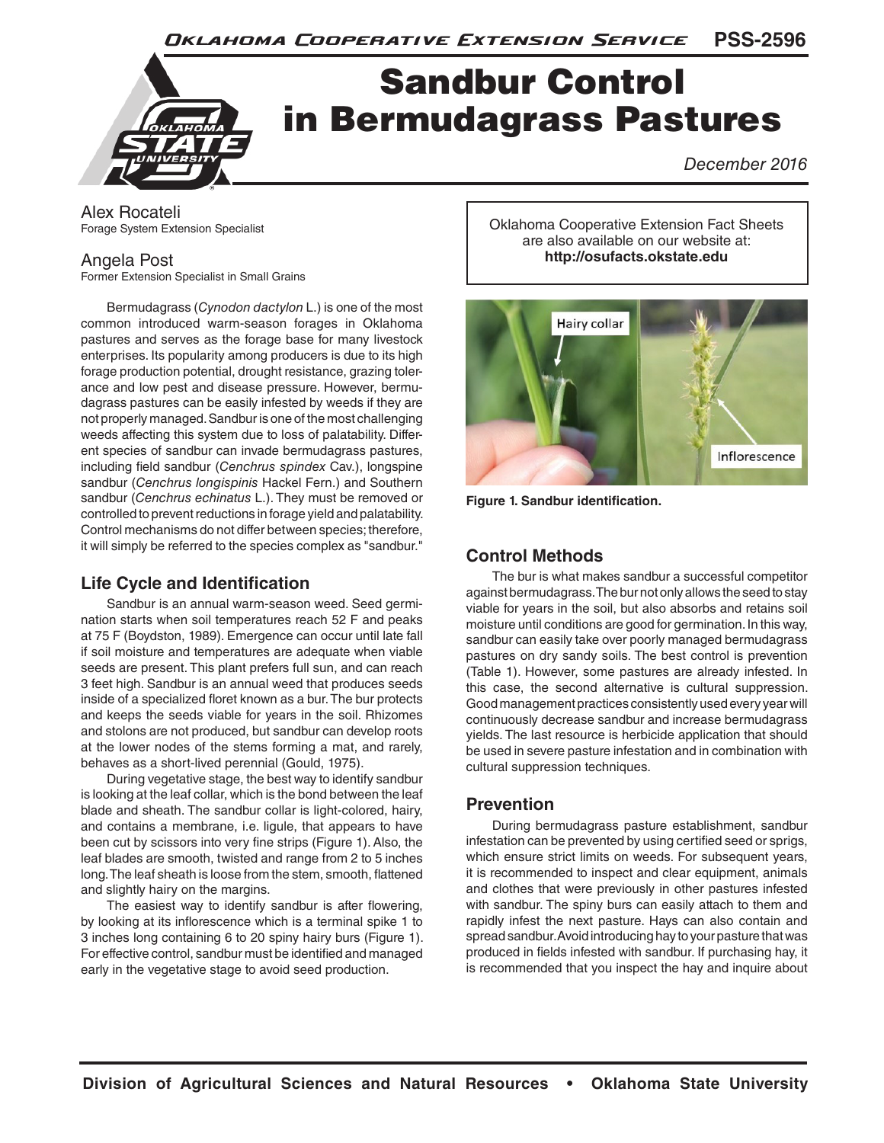

Alex Rocateli Forage System Extension Specialist

### Angela Post

Former Extension Specialist in Small Grains

Bermudagrass (*Cynodon dactylon* L.) is one of the most common introduced warm-season forages in Oklahoma pastures and serves as the forage base for many livestock enterprises. Its popularity among producers is due to its high forage production potential, drought resistance, grazing tolerance and low pest and disease pressure. However, bermudagrass pastures can be easily infested by weeds if they are not properly managed. Sandbur is one of the most challenging weeds affecting this system due to loss of palatability. Different species of sandbur can invade bermudagrass pastures, including field sandbur (*Cenchrus spindex* Cav.), longspine sandbur (*Cenchrus longispinis* Hackel Fern.) and Southern sandbur (*Cenchrus echinatus* L.). They must be removed or controlled to prevent reductions in forage yield and palatability. Control mechanisms do not differ between species; therefore, it will simply be referred to the species complex as "sandbur."

# **Life Cycle and Identification**

Sandbur is an annual warm-season weed. Seed germination starts when soil temperatures reach 52 F and peaks at 75 F (Boydston, 1989). Emergence can occur until late fall if soil moisture and temperatures are adequate when viable seeds are present. This plant prefers full sun, and can reach 3 feet high. Sandbur is an annual weed that produces seeds inside of a specialized floret known as a bur. The bur protects and keeps the seeds viable for years in the soil. Rhizomes and stolons are not produced, but sandbur can develop roots at the lower nodes of the stems forming a mat, and rarely, behaves as a short-lived perennial (Gould, 1975).

During vegetative stage, the best way to identify sandbur is looking at the leaf collar, which is the bond between the leaf blade and sheath. The sandbur collar is light-colored, hairy, and contains a membrane, i.e. ligule, that appears to have been cut by scissors into very fine strips (Figure 1). Also, the leaf blades are smooth, twisted and range from 2 to 5 inches long. The leaf sheath is loose from the stem, smooth, flattened and slightly hairy on the margins.

The easiest way to identify sandbur is after flowering, by looking at its inflorescence which is a terminal spike 1 to 3 inches long containing 6 to 20 spiny hairy burs (Figure 1). For effective control, sandbur must be identified and managed early in the vegetative stage to avoid seed production.

Oklahoma Cooperative Extension Fact Sheets are also available on our website at: **http://osufacts.okstate.edu**



**Figure 1. Sandbur identification.**

# **Control Methods**

The bur is what makes sandbur a successful competitor against bermudagrass. The bur not only allows the seed to stay viable for years in the soil, but also absorbs and retains soil moisture until conditions are good for germination. In this way, sandbur can easily take over poorly managed bermudagrass pastures on dry sandy soils. The best control is prevention (Table 1). However, some pastures are already infested. In this case, the second alternative is cultural suppression. Good management practices consistently used every year will continuously decrease sandbur and increase bermudagrass yields. The last resource is herbicide application that should be used in severe pasture infestation and in combination with cultural suppression techniques.

## **Prevention**

During bermudagrass pasture establishment, sandbur infestation can be prevented by using certified seed or sprigs, which ensure strict limits on weeds. For subsequent years, it is recommended to inspect and clear equipment, animals and clothes that were previously in other pastures infested with sandbur. The spiny burs can easily attach to them and rapidly infest the next pasture. Hays can also contain and spread sandbur. Avoid introducing hay to your pasture that was produced in fields infested with sandbur. If purchasing hay, it is recommended that you inspect the hay and inquire about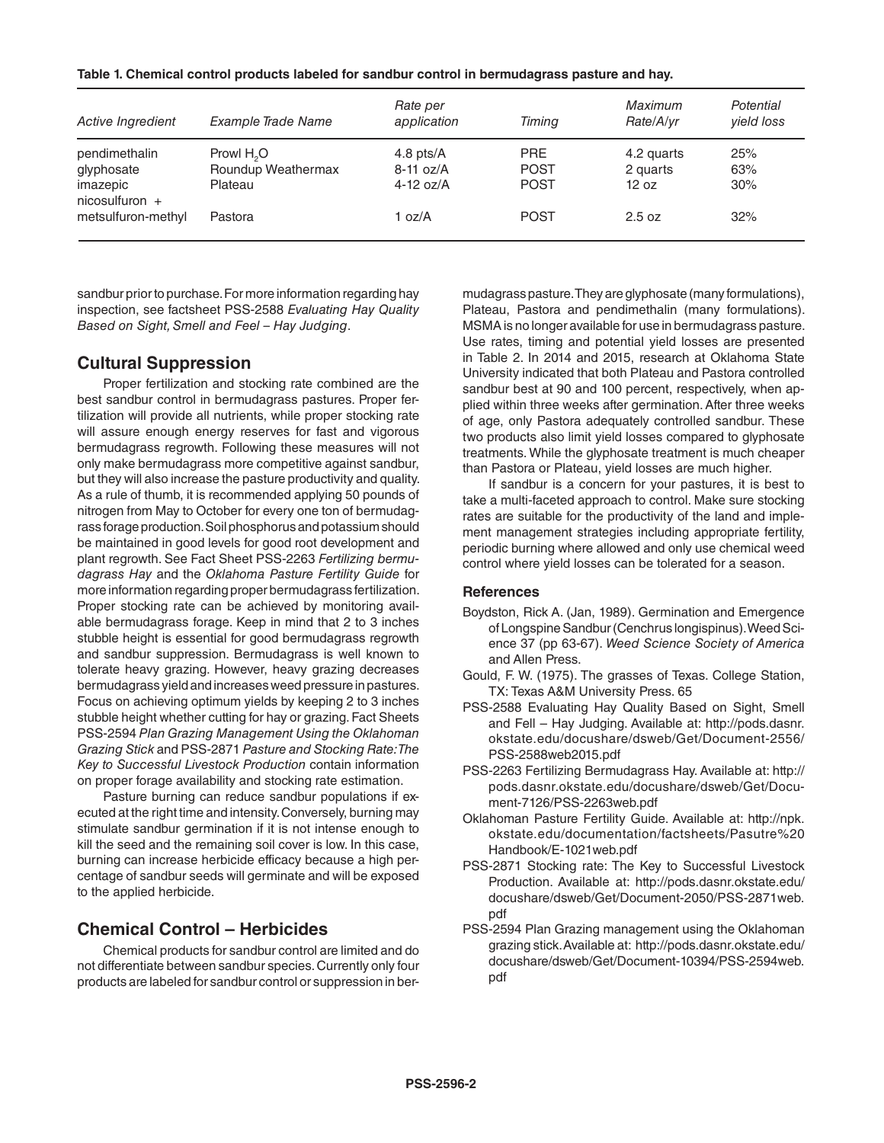| Table 1. Chemical control products labeled for sandbur control in bermudagrass pasture and hay. |  |
|-------------------------------------------------------------------------------------------------|--|
|-------------------------------------------------------------------------------------------------|--|

| Active Ingredient                                  | Example Trade Name                           | Rate per<br>application     | Timing                     | Maximum<br>Rate/A/vr   | Potential<br>vield loss |
|----------------------------------------------------|----------------------------------------------|-----------------------------|----------------------------|------------------------|-------------------------|
| pendimethalin<br>glyphosate                        | Prowl H <sub>2</sub> O<br>Roundup Weathermax | 4.8 pts/ $A$<br>$8-11$ oz/A | <b>PRE</b><br><b>POST</b>  | 4.2 quarts<br>2 quarts | 25%<br>63%              |
| imazepic<br>$nicosulfuron +$<br>metsulfuron-methyl | Plateau<br>Pastora                           | 4-12 $oz/A$<br>1 oz/A       | <b>POST</b><br><b>POST</b> | 12 oz<br>2.5 oz        | 30%<br>32%              |

sandbur prior to purchase. For more information regarding hay inspection, see factsheet PSS-2588 *Evaluating Hay Quality Based on Sight, Smell and Feel – Hay Judging*.

#### **Cultural Suppression**

Proper fertilization and stocking rate combined are the best sandbur control in bermudagrass pastures. Proper fertilization will provide all nutrients, while proper stocking rate will assure enough energy reserves for fast and vigorous bermudagrass regrowth. Following these measures will not only make bermudagrass more competitive against sandbur, but they will also increase the pasture productivity and quality. As a rule of thumb, it is recommended applying 50 pounds of nitrogen from May to October for every one ton of bermudagrass forage production. Soil phosphorus and potassium should be maintained in good levels for good root development and plant regrowth. See Fact Sheet PSS-2263 *Fertilizing bermudagrass Hay* and the *Oklahoma Pasture Fertility Guide* for more information regarding proper bermudagrass fertilization. Proper stocking rate can be achieved by monitoring available bermudagrass forage. Keep in mind that 2 to 3 inches stubble height is essential for good bermudagrass regrowth and sandbur suppression. Bermudagrass is well known to tolerate heavy grazing. However, heavy grazing decreases bermudagrass yield and increases weed pressure in pastures. Focus on achieving optimum yields by keeping 2 to 3 inches stubble height whether cutting for hay or grazing. Fact Sheets PSS-2594 *Plan Grazing Management Using the Oklahoman Grazing Stick* and PSS-2871 *Pasture and Stocking Rate: The Key to Successful Livestock Production* contain information on proper forage availability and stocking rate estimation.

Pasture burning can reduce sandbur populations if executed at the right time and intensity. Conversely, burning may stimulate sandbur germination if it is not intense enough to kill the seed and the remaining soil cover is low. In this case, burning can increase herbicide efficacy because a high percentage of sandbur seeds will germinate and will be exposed to the applied herbicide.

## **Chemical Control – Herbicides**

Chemical products for sandbur control are limited and do not differentiate between sandbur species. Currently only four products are labeled for sandbur control or suppression in bermudagrass pasture. They are glyphosate (many formulations), Plateau, Pastora and pendimethalin (many formulations). MSMA is no longer available for use in bermudagrass pasture. Use rates, timing and potential yield losses are presented in Table 2. In 2014 and 2015, research at Oklahoma State University indicated that both Plateau and Pastora controlled sandbur best at 90 and 100 percent, respectively, when applied within three weeks after germination. After three weeks of age, only Pastora adequately controlled sandbur. These two products also limit yield losses compared to glyphosate treatments. While the glyphosate treatment is much cheaper than Pastora or Plateau, yield losses are much higher.

If sandbur is a concern for your pastures, it is best to take a multi-faceted approach to control. Make sure stocking rates are suitable for the productivity of the land and implement management strategies including appropriate fertility, periodic burning where allowed and only use chemical weed control where yield losses can be tolerated for a season.

#### **References**

- Boydston, Rick A. (Jan, 1989). Germination and Emergence of Longspine Sandbur (Cenchrus longispinus). Weed Science 37 (pp 63-67). *Weed Science Society of America* and Allen Press.
- Gould, F. W. (1975). The grasses of Texas. College Station, TX: Texas A&M University Press. 65
- PSS-2588 Evaluating Hay Quality Based on Sight, Smell and Fell – Hay Judging. Available at: http://pods.dasnr. okstate.edu/docushare/dsweb/Get/Document-2556/ PSS-2588web2015.pdf
- PSS-2263 Fertilizing Bermudagrass Hay. Available at: http:// pods.dasnr.okstate.edu/docushare/dsweb/Get/Document-7126/PSS-2263web.pdf
- Oklahoman Pasture Fertility Guide. Available at: http://npk. okstate.edu/documentation/factsheets/Pasutre%20 Handbook/E-1021web.pdf
- PSS-2871 Stocking rate: The Key to Successful Livestock Production. Available at: http://pods.dasnr.okstate.edu/ docushare/dsweb/Get/Document-2050/PSS-2871web. pdf
- PSS-2594 Plan Grazing management using the Oklahoman grazing stick. Available at: http://pods.dasnr.okstate.edu/ docushare/dsweb/Get/Document-10394/PSS-2594web. pdf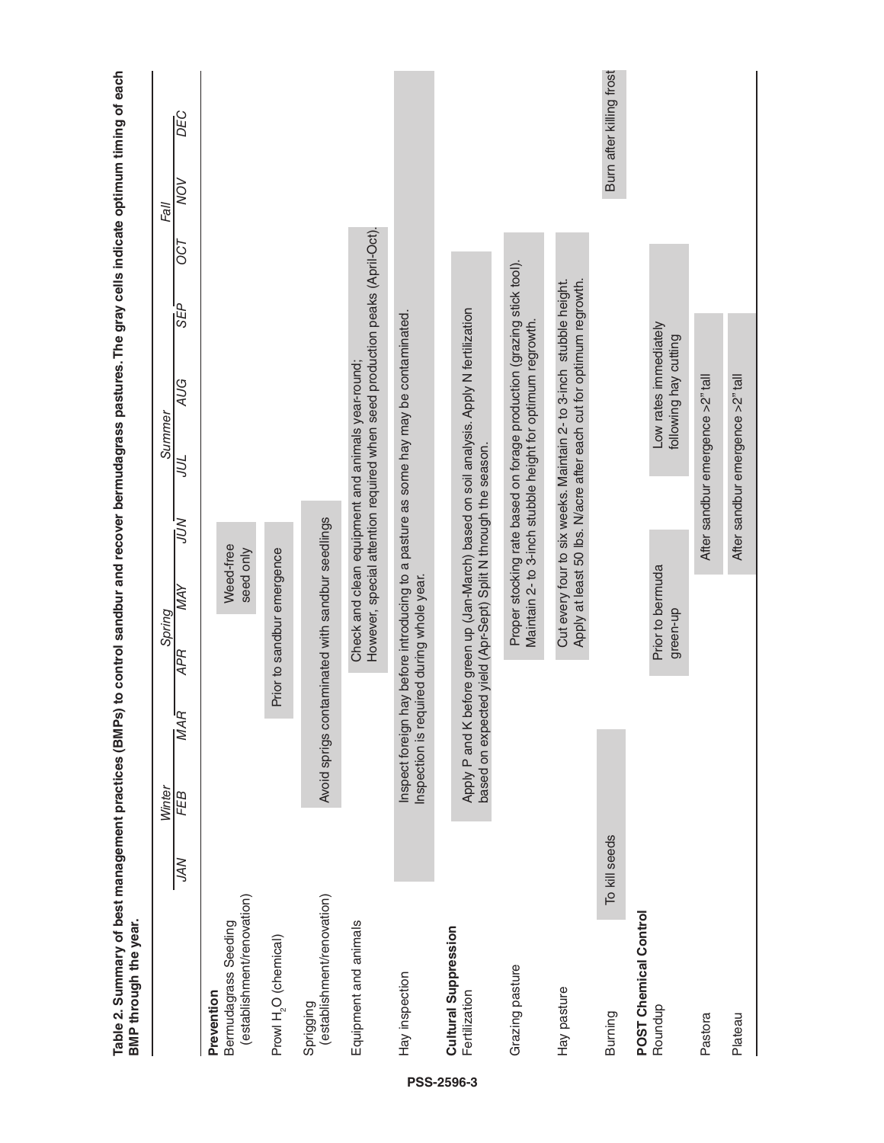| Table 2. Summary of best management practices (BMPs) to control sandbur and recover bermudagrass pastures. The gray cells indicate optimum timing of each<br>BMP through the year. |               |               |                                                                |                            |                        |     |                                                   |                                                                                                                                          |            |     |             |                          |
|------------------------------------------------------------------------------------------------------------------------------------------------------------------------------------|---------------|---------------|----------------------------------------------------------------|----------------------------|------------------------|-----|---------------------------------------------------|------------------------------------------------------------------------------------------------------------------------------------------|------------|-----|-------------|--------------------------|
|                                                                                                                                                                                    | NK            | Winter<br>FEB | $\overline{M}$ AR                                              | Spring<br><b>APR</b>       | <b>AVV</b>             | NOV | Summer<br>JUL                                     | <b>AUG</b>                                                                                                                               | BEP<br>SEP | 750 | NON<br>Fall | DEC                      |
| (establishment/renovation)<br>Bermudagrass Seeding<br>Prevention                                                                                                                   |               |               |                                                                |                            | Weed-free<br>seed only |     |                                                   |                                                                                                                                          |            |     |             |                          |
| Prowl H <sub>2</sub> O (chemical)                                                                                                                                                  |               |               |                                                                | Prior to sandbur emergence |                        |     |                                                   |                                                                                                                                          |            |     |             |                          |
| (establishment/renovation)<br>Sprigging                                                                                                                                            |               |               | Avoid sprigs contaminated with sandbur seedlings               |                            |                        |     |                                                   |                                                                                                                                          |            |     |             |                          |
| Equipment and animals                                                                                                                                                              |               |               |                                                                |                            |                        |     | Check and clean equipment and animals year-round; | However, special attention required when seed production peaks (April-Oct).                                                              |            |     |             |                          |
| Hay inspection                                                                                                                                                                     |               |               | Inspection is required during whole year.                      |                            |                        |     |                                                   | Inspect foreign hay before introducing to a pasture as some hay may be contaminated.                                                     |            |     |             |                          |
| Cultural Suppression<br>Fertilization                                                                                                                                              |               |               | based on expected yield (Apr-Sept) Split N through the season. |                            |                        |     |                                                   | Apply P and K before green up (Jan-March) based on soil analysis. Apply N fertilization                                                  |            |     |             |                          |
| Grazing pasture                                                                                                                                                                    |               |               |                                                                |                            |                        |     |                                                   | Proper stocking rate based on forage production (grazing stick tool).<br>Maintain 2- to 3-inch stubble height for optimum regrowth.      |            |     |             |                          |
| Hay pasture                                                                                                                                                                        |               |               |                                                                |                            |                        |     |                                                   | Cut every four to six weeks. Maintain 2- to 3-inch stubble height.<br>Apply at least 50 lbs. N/acre after each cut for optimum regrowth. |            |     |             |                          |
| <b>Burning</b>                                                                                                                                                                     | To kill seeds |               |                                                                |                            |                        |     |                                                   |                                                                                                                                          |            |     |             | Burn after killing frost |
| <b>POST Chemical Control</b><br>Roundup                                                                                                                                            |               |               |                                                                | green-up                   | Prior to bermuda       |     |                                                   | Low rates immediately<br>following hay cutting                                                                                           |            |     |             |                          |
| Pastora                                                                                                                                                                            |               |               |                                                                |                            |                        |     | After sandbur emergence >2" tall                  |                                                                                                                                          |            |     |             |                          |
| Plateau                                                                                                                                                                            |               |               |                                                                |                            |                        |     | After sandbur emergence >2" tall                  |                                                                                                                                          |            |     |             |                          |
|                                                                                                                                                                                    |               |               |                                                                |                            |                        |     |                                                   |                                                                                                                                          |            |     |             |                          |